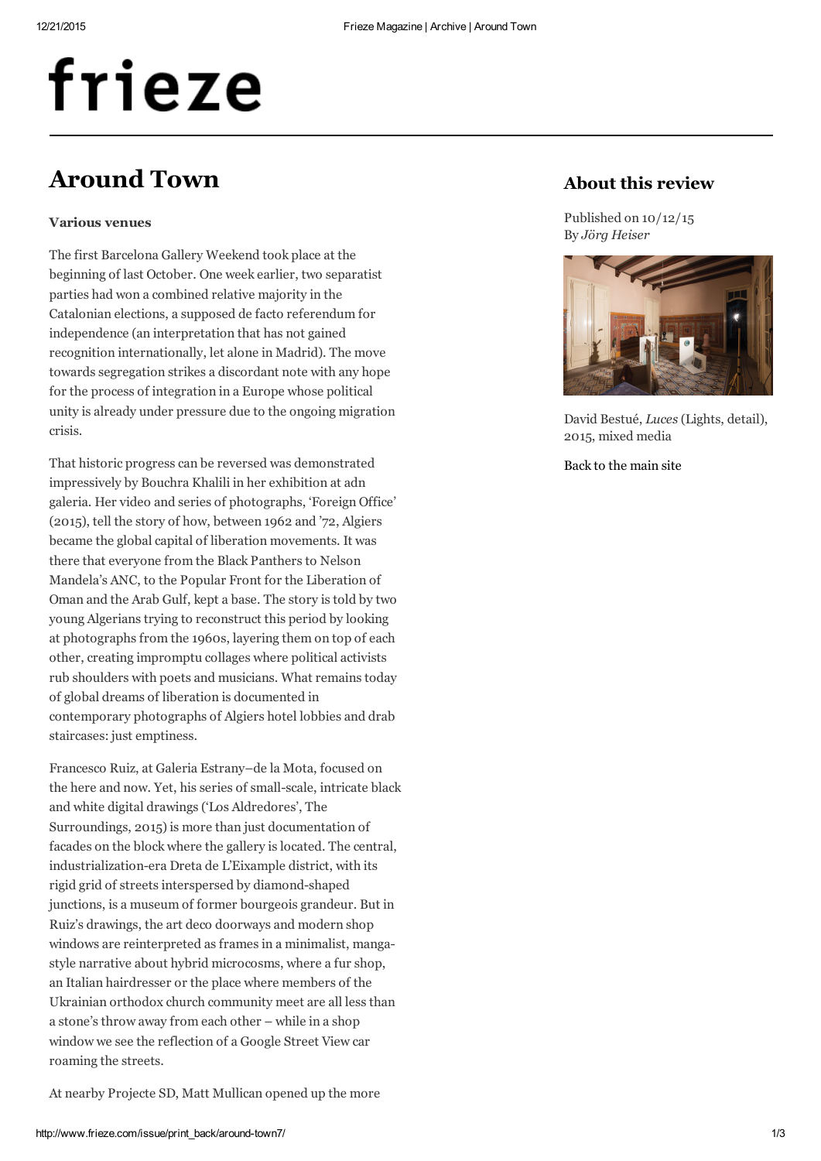# frieze

## Around Town

## Various venues

The first Barcelona Gallery Weekend took place at the beginning of last October. One week earlier, two separatist parties had won a combined relative majority in the Catalonian elections, a supposed de facto referendum for independence (an interpretation that has not gained recognition internationally, let alone in Madrid). The move towards segregation strikes a discordant note with any hope for the process of integration in a Europe whose political unity is already under pressure due to the ongoing migration crisis.

That historic progress can be reversed was demonstrated impressively by Bouchra Khalili in her exhibition at adn galeria. Her video and series of photographs, 'Foreign Office' (2015), tell the story of how, between 1962 and '72, Algiers became the global capital of liberation movements. It was there that everyone from the Black Panthers to Nelson Mandela's ANC, to the Popular Front for the Liberation of Oman and the Arab Gulf, kept a base. The story is told by two young Algerians trying to reconstruct this period by looking at photographs from the 1960s, layering them on top of each other, creating impromptu collages where political activists rub shoulders with poets and musicians. What remains today of global dreams of liberation is documented in contemporary photographs of Algiers hotel lobbies and drab staircases: just emptiness.

Francesco Ruiz, at Galeria Estrany–de la Mota, focused on the here and now. Yet, his series of small-scale, intricate black and white digital drawings ('Los Aldredores', The Surroundings, 2015) is more than just documentation of facades on the block where the gallery is located. The central, industrialization-era Dreta de L'Eixample district, with its rigid grid of streets interspersed by diamond-shaped junctions, is a museum of former bourgeois grandeur. But in Ruiz's drawings, the art deco doorways and modern shop windows are reinterpreted as frames in a minimalist, mangastyle narrative about hybrid microcosms, where a fur shop, an Italian hairdresser or the place where members of the Ukrainian orthodox church community meet are all less than a stone's throw away from each other – while in a shop window we see the reflection of a Google Street View car roaming the streets.

## About this review

Published on 10/12/15 By Jörg Heiser



David Bestué, Luces (Lights, detail), 2015, mixed media

Back to the [main](http://www.frieze.com/issue/review/around-town7/) site

At nearby Projecte SD, Matt Mullican opened up the more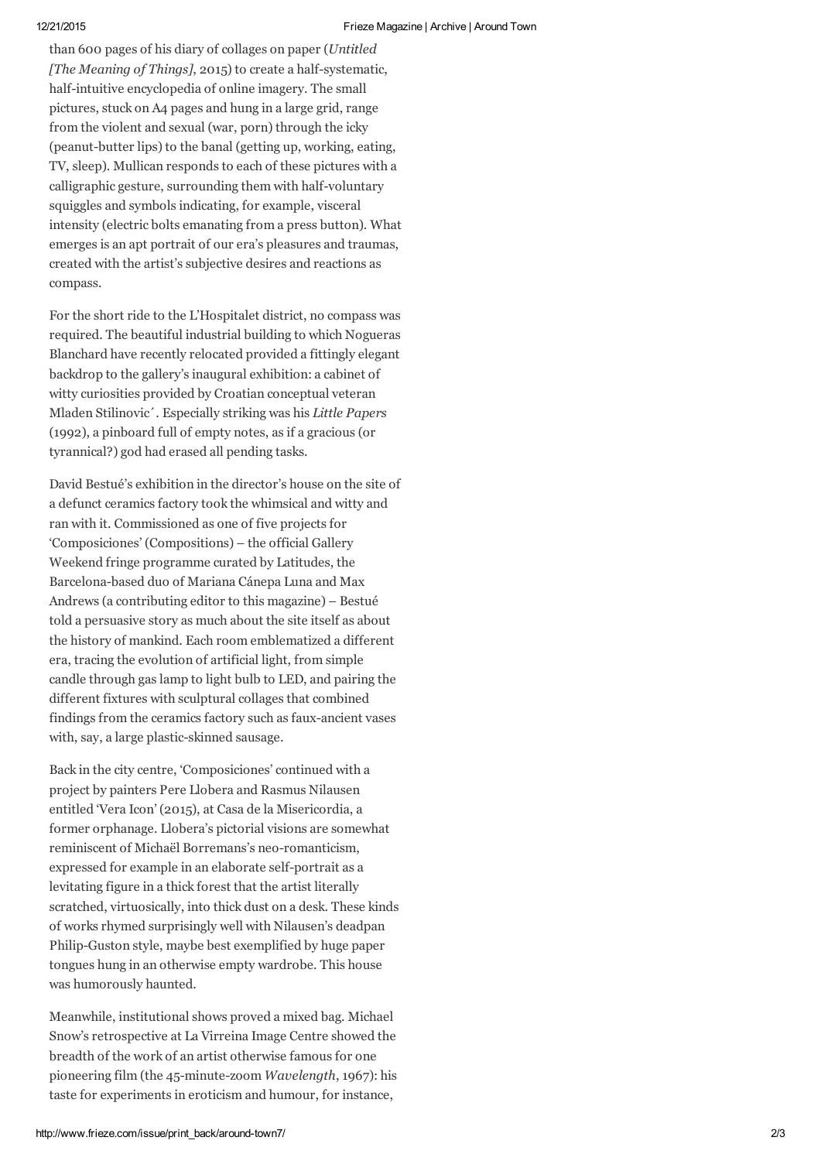than 600 pages of his diary of collages on paper (Untitled [The Meaning of Things], 2015) to create a half-systematic, half-intuitive encyclopedia of online imagery. The small pictures, stuck on A4 pages and hung in a large grid, range from the violent and sexual (war, porn) through the icky (peanut-butter lips) to the banal (getting up, working, eating, TV, sleep). Mullican responds to each of these pictures with a calligraphic gesture, surrounding them with half-voluntary squiggles and symbols indicating, for example, visceral intensity (electric bolts emanating from a press button). What emerges is an apt portrait of our era's pleasures and traumas, created with the artist's subjective desires and reactions as compass.

For the short ride to the L'Hospitalet district, no compass was required. The beautiful industrial building to which Nogueras Blanchard have recently relocated provided a fittingly elegant backdrop to the gallery's inaugural exhibition: a cabinet of witty curiosities provided by Croatian conceptual veteran Mladen Stilinovic´. Especially striking was his Little Papers (1992), a pinboard full of empty notes, as if a gracious (or tyrannical?) god had erased all pending tasks.

David Bestué's exhibition in the director's house on the site of a defunct ceramics factory took the whimsical and witty and ran with it. Commissioned as one of five projects for 'Composiciones' (Compositions) – the official Gallery Weekend fringe programme curated by Latitudes, the Barcelona-based duo of Mariana Cánepa Luna and Max Andrews (a contributing editor to this magazine) – Bestué told a persuasive story as much about the site itself as about the history of mankind. Each room emblematized a different era, tracing the evolution of artificial light, from simple candle through gas lamp to light bulb to LED, and pairing the different fixtures with sculptural collages that combined findings from the ceramics factory such as faux-ancient vases with, say, a large plastic-skinned sausage.

Back in the city centre, 'Composiciones' continued with a project by painters Pere Llobera and Rasmus Nilausen entitled 'Vera Icon' (2015), at Casa de la Misericordia, a former orphanage. Llobera's pictorial visions are somewhat reminiscent of Michaël Borremans's neo-romanticism, expressed for example in an elaborate self-portrait as a levitating figure in a thick forest that the artist literally scratched, virtuosically, into thick dust on a desk. These kinds of works rhymed surprisingly well with Nilausen's deadpan Philip-Guston style, maybe best exemplified by huge paper tongues hung in an otherwise empty wardrobe. This house was humorously haunted.

Meanwhile, institutional shows proved a mixed bag. Michael Snow's retrospective at La Virreina Image Centre showed the breadth of the work of an artist otherwise famous for one pioneering film (the 45-minute-zoom Wavelength, 1967): his taste for experiments in eroticism and humour, for instance,